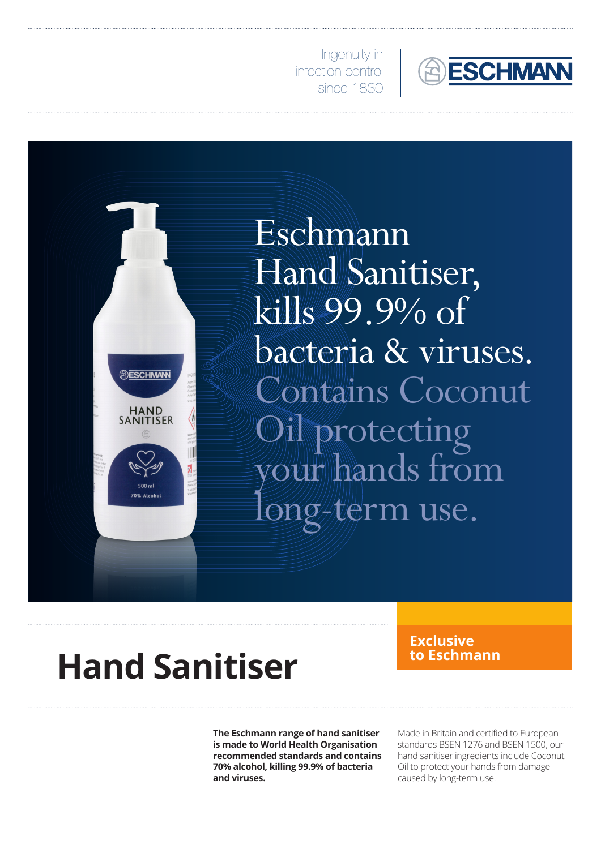

Ingenuity in infection control since 1830



Eschmann Hand Sanitiser, kills 99.9% of bacteria & viruses. Contains Coconut protecting your hands from  $\mathscr{D}/\hspace{-0.1cm}/\hspace{-0.1cm}/\hspace{-0.1cm}/\hspace{-0.1cm}\mathbb{C}$ rm use.

## **Hand Sanitiser**

**Exclusive** 

**The Eschmann range of hand sanitiser is made to World Health Organisation recommended standards and contains 70% alcohol, killing 99.9% of bacteria and viruses.**

Made in Britain and certified to European standards BSEN 1276 and BSEN 1500, our hand sanitiser ingredients include Coconut Oil to protect your hands from damage caused by long-term use.